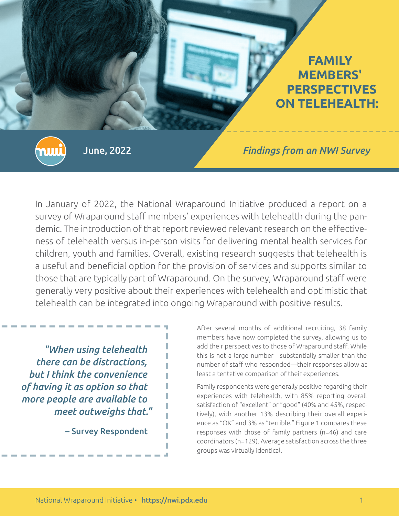

Ш

June, 2022 *Findings from an NWI Survey*

In January of 2022, the National Wraparound Initiative produced a report on a survey of Wraparound staff members' experiences with telehealth during the pandemic. The introduction of that report reviewed relevant research on the effectiveness of telehealth versus in-person visits for delivering mental health services for children, youth and families. Overall, existing research suggests that telehealth is a useful and beneficial option for the provision of services and supports similar to those that are typically part of Wraparound. On the survey, Wraparound staff were generally very positive about their experiences with telehealth and optimistic that telehealth can be integrated into ongoing Wraparound with positive results.

*"When using telehealth there can be distractions, but I think the convenience of having it as option so that more people are available to meet outweighs that."*

– Survey Respondent

After several months of additional recruiting, 38 family members have now completed the survey, allowing us to add their perspectives to those of Wraparound staff. While this is not a large number—substantially smaller than the number of staff who responded—their responses allow at least a tentative comparison of their experiences.

Family respondents were generally positive regarding their experiences with telehealth, with 85% reporting overall satisfaction of "excellent" or "good" (40% and 45%, respectively), with another 13% describing their overall experience as "OK" and 3% as "terrible." Figure 1 compares these responses with those of family partners (n=46) and care coordinators (n=129). Average satisfaction across the three groups was virtually identical.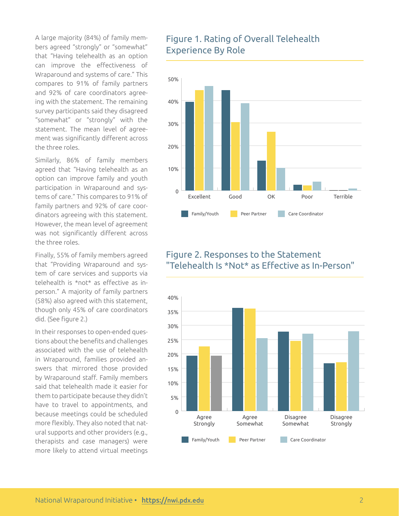A large majority (84%) of family members agreed "strongly" or "somewhat" that "Having telehealth as an option can improve the effectiveness of Wraparound and systems of care." This compares to 91% of family partners and 92% of care coordinators agreeing with the statement. The remaining survey participants said they disagreed "somewhat" or "strongly" with the statement. The mean level of agreement was significantly different across the three roles.

Similarly, 86% of family members agreed that "Having telehealth as an option can improve family and youth participation in Wraparound and systems of care." This compares to 91% of family partners and 92% of care coordinators agreeing with this statement. However, the mean level of agreement was not significantly different across the three roles.

Finally, 55% of family members agreed that "Providing Wraparound and system of care services and supports via telehealth is \*not\* as effective as inperson." A majority of family partners (58%) also agreed with this statement, though only 45% of care coordinators did. (See figure 2.)

In their responses to open-ended questions about the benefits and challenges associated with the use of telehealth in Wraparound, families provided answers that mirrored those provided by Wraparound staff. Family members said that telehealth made it easier for them to participate because they didn't have to travel to appointments, and because meetings could be scheduled more flexibly. They also noted that natural supports and other providers (e.g., therapists and case managers) were more likely to attend virtual meetings

## Figure 1. Rating of Overall Telehealth Experience By Role



## Figure 2. Responses to the Statement "Telehealth Is \*Not\* as Effective as In-Person"

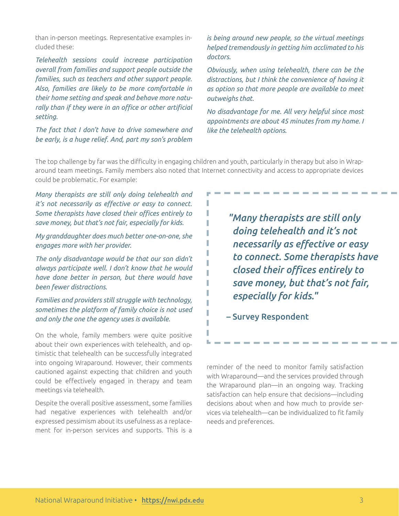than in-person meetings. Representative examples included these:

*Telehealth sessions could increase participation overall from families and support people outside the families, such as teachers and other support people. Also, families are likely to be more comfortable in their home setting and speak and behave more naturally than if they were in an office or other artificial setting.*

*The fact that I don't have to drive somewhere and be early, is a huge relief. And, part my son's problem* 

*is being around new people, so the virtual meetings helped tremendously in getting him acclimated to his doctors.*

*Obviously, when using telehealth, there can be the distractions, but I think the convenience of having it as option so that more people are available to meet outweighs that.*

*No disadvantage for me. All very helpful since most appointments are about 45 minutes from my home. I like the telehealth options.*

The top challenge by far was the difficulty in engaging children and youth, particularly in therapy but also in Wraparound team meetings. Family members also noted that Internet connectivity and access to appropriate devices could be problematic. For example:

*Many therapists are still only doing telehealth and it's not necessarily as effective or easy to connect. Some therapists have closed their offices entirely to save money, but that's not fair, especially for kids.*

*My granddaughter does much better one-on-one, she engages more with her provider.*

*The only disadvantage would be that our son didn't always participate well. I don't know that he would have done better in person, but there would have been fewer distractions.*

*Families and providers still struggle with technology, sometimes the platform of family choice is not used and only the one the agency uses is available.*

On the whole, family members were quite positive about their own experiences with telehealth, and optimistic that telehealth can be successfully integrated into ongoing Wraparound. However, their comments cautioned against expecting that children and youth could be effectively engaged in therapy and team meetings via telehealth.

Despite the overall positive assessment, some families had negative experiences with telehealth and/or expressed pessimism about its usefulness as a replacement for in-person services and supports. This is a *"Many therapists are still only doing telehealth and it's not necessarily as effective or easy to connect. Some therapists have closed their offices entirely to save money, but that's not fair, especially for kids."*

– Survey Respondent

reminder of the need to monitor family satisfaction with Wraparound—and the services provided through the Wraparound plan—in an ongoing way. Tracking satisfaction can help ensure that decisions—including decisions about when and how much to provide services via telehealth—can be individualized to fit family needs and preferences.